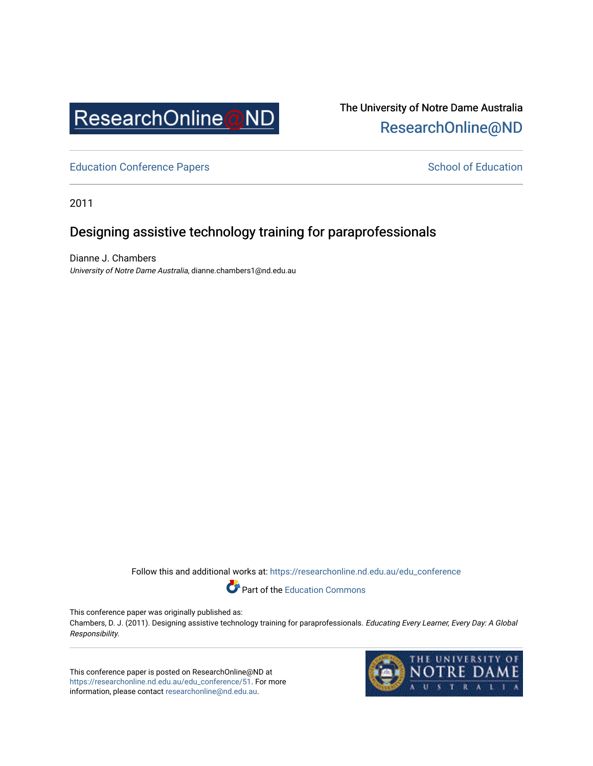

# The University of Notre Dame Australia [ResearchOnline@ND](https://researchonline.nd.edu.au/)

[Education Conference Papers](https://researchonline.nd.edu.au/edu_conference) **School of Education** School of Education

2011

## Designing assistive technology training for paraprofessionals

Dianne J. Chambers University of Notre Dame Australia, dianne.chambers1@nd.edu.au

Follow this and additional works at: [https://researchonline.nd.edu.au/edu\\_conference](https://researchonline.nd.edu.au/edu_conference?utm_source=researchonline.nd.edu.au%2Fedu_conference%2F51&utm_medium=PDF&utm_campaign=PDFCoverPages)

Part of the [Education Commons](http://network.bepress.com/hgg/discipline/784?utm_source=researchonline.nd.edu.au%2Fedu_conference%2F51&utm_medium=PDF&utm_campaign=PDFCoverPages) 

This conference paper was originally published as:

Chambers, D. J. (2011). Designing assistive technology training for paraprofessionals. Educating Every Learner, Every Day: A Global Responsibility.

This conference paper is posted on ResearchOnline@ND at [https://researchonline.nd.edu.au/edu\\_conference/51.](https://researchonline.nd.edu.au/edu_conference/51) For more information, please contact [researchonline@nd.edu.au.](mailto:researchonline@nd.edu.au)

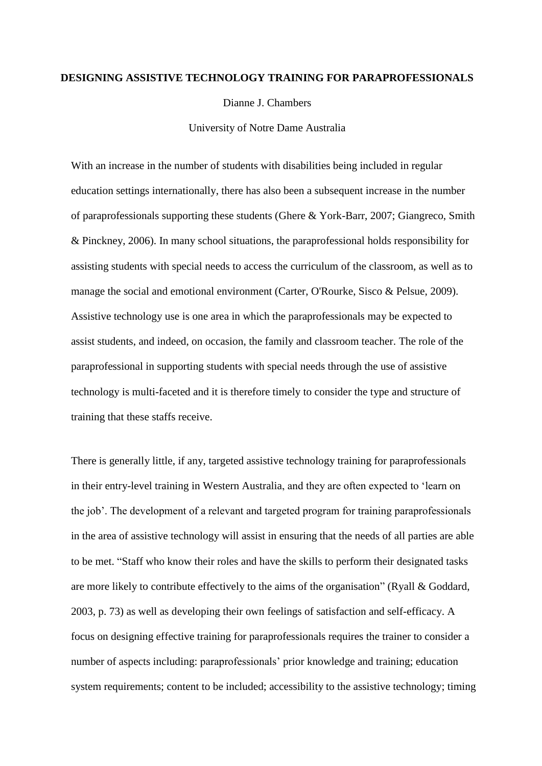#### **DESIGNING ASSISTIVE TECHNOLOGY TRAINING FOR PARAPROFESSIONALS**

Dianne J. Chambers

University of Notre Dame Australia

With an increase in the number of students with disabilities being included in regular education settings internationally, there has also been a subsequent increase in the number of paraprofessionals supporting these students (Ghere & York-Barr, 2007; Giangreco, Smith & Pinckney, 2006). In many school situations, the paraprofessional holds responsibility for assisting students with special needs to access the curriculum of the classroom, as well as to manage the social and emotional environment (Carter, O'Rourke, Sisco & Pelsue, 2009). Assistive technology use is one area in which the paraprofessionals may be expected to assist students, and indeed, on occasion, the family and classroom teacher. The role of the paraprofessional in supporting students with special needs through the use of assistive technology is multi-faceted and it is therefore timely to consider the type and structure of training that these staffs receive.

There is generally little, if any, targeted assistive technology training for paraprofessionals in their entry-level training in Western Australia, and they are often expected to "learn on the job". The development of a relevant and targeted program for training paraprofessionals in the area of assistive technology will assist in ensuring that the needs of all parties are able to be met. "Staff who know their roles and have the skills to perform their designated tasks are more likely to contribute effectively to the aims of the organisation" (Ryall & Goddard, 2003, p. 73) as well as developing their own feelings of satisfaction and self-efficacy. A focus on designing effective training for paraprofessionals requires the trainer to consider a number of aspects including: paraprofessionals' prior knowledge and training; education system requirements; content to be included; accessibility to the assistive technology; timing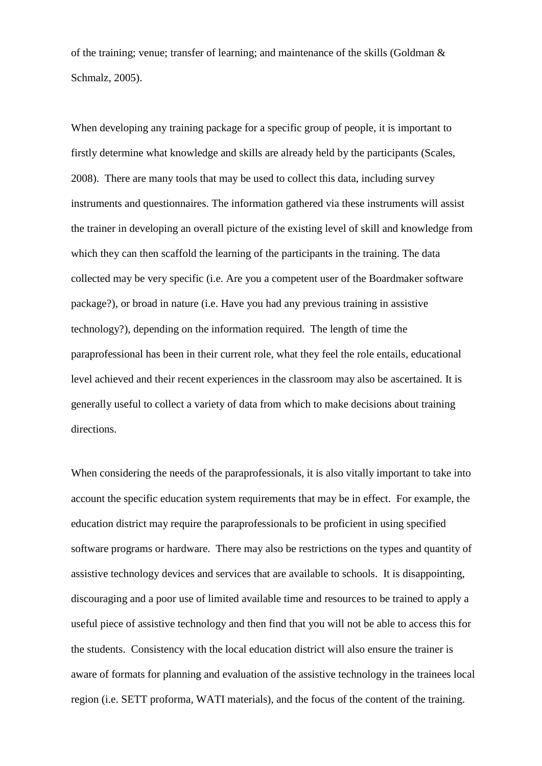of the training; venue; transfer of learning; and maintenance of the skills (Goldman & Schmalz, 2005).

When developing any training package for a specific group of people, it is important to firstly determine what knowledge and skills are already held by the participants (Scales, 2008). There are many tools that may be used to collect this data, including survey instruments and questionnaires. The information gathered via these instruments will assist the trainer in developing an overall picture of the existing level of skill and knowledge from which they can then scaffold the learning of the participants in the training. The data collected may be very specific (i.e. Are you a competent user of the Boardmaker software package?), or broad in nature (i.e. Have you had any previous training in assistive technology?), depending on the information required. The length of time the paraprofessional has been in their current role, what they feel the role entails, educational level achieved and their recent experiences in the classroom may also be ascertained. It is generally useful to collect a variety of data from which to make decisions about training directions.

When considering the needs of the paraprofessionals, it is also vitally important to take into account the specific education system requirements that may be in effect. For example, the education district may require the paraprofessionals to be proficient in using specified software programs or hardware. There may also be restrictions on the types and quantity of assistive technology devices and services that are available to schools. It is disappointing, discouraging and a poor use of limited available time and resources to be trained to apply a useful piece of assistive technology and then find that you will not be able to access this for the students. Consistency with the local education district will also ensure the trainer is aware of formats for planning and evaluation of the assistive technology in the trainees local region (i.e. SETT proforma, WATI materials), and the focus of the content of the training.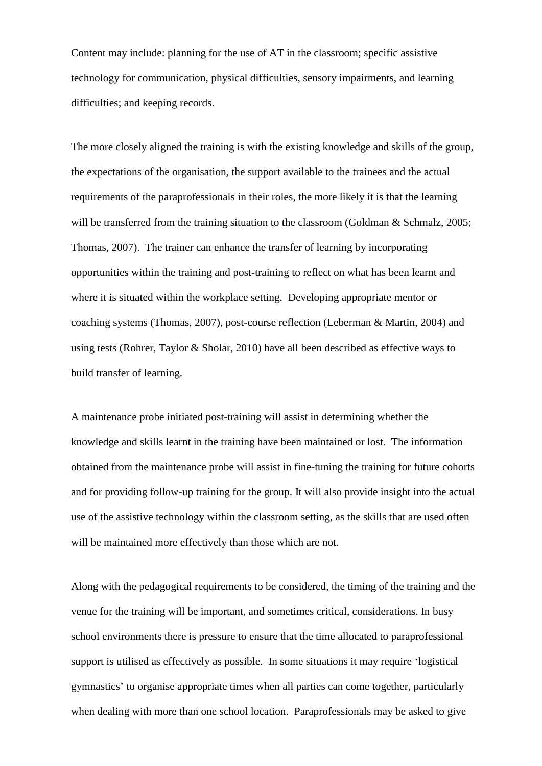Content may include: planning for the use of AT in the classroom; specific assistive technology for communication, physical difficulties, sensory impairments, and learning difficulties; and keeping records.

The more closely aligned the training is with the existing knowledge and skills of the group, the expectations of the organisation, the support available to the trainees and the actual requirements of the paraprofessionals in their roles, the more likely it is that the learning will be transferred from the training situation to the classroom (Goldman & Schmalz, 2005; Thomas, 2007). The trainer can enhance the transfer of learning by incorporating opportunities within the training and post-training to reflect on what has been learnt and where it is situated within the workplace setting. Developing appropriate mentor or coaching systems (Thomas, 2007), post-course reflection (Leberman & Martin, 2004) and using tests (Rohrer, Taylor & Sholar, 2010) have all been described as effective ways to build transfer of learning.

A maintenance probe initiated post-training will assist in determining whether the knowledge and skills learnt in the training have been maintained or lost. The information obtained from the maintenance probe will assist in fine-tuning the training for future cohorts and for providing follow-up training for the group. It will also provide insight into the actual use of the assistive technology within the classroom setting, as the skills that are used often will be maintained more effectively than those which are not.

Along with the pedagogical requirements to be considered, the timing of the training and the venue for the training will be important, and sometimes critical, considerations. In busy school environments there is pressure to ensure that the time allocated to paraprofessional support is utilised as effectively as possible. In some situations it may require "logistical gymnastics" to organise appropriate times when all parties can come together, particularly when dealing with more than one school location. Paraprofessionals may be asked to give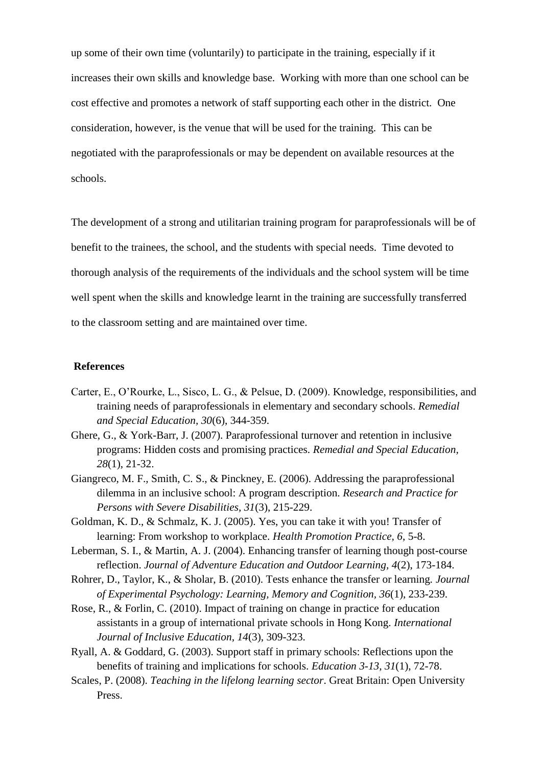up some of their own time (voluntarily) to participate in the training, especially if it increases their own skills and knowledge base. Working with more than one school can be cost effective and promotes a network of staff supporting each other in the district. One consideration, however, is the venue that will be used for the training. This can be negotiated with the paraprofessionals or may be dependent on available resources at the schools.

The development of a strong and utilitarian training program for paraprofessionals will be of benefit to the trainees, the school, and the students with special needs. Time devoted to thorough analysis of the requirements of the individuals and the school system will be time well spent when the skills and knowledge learnt in the training are successfully transferred to the classroom setting and are maintained over time.

#### **References**

- Carter, E., O"Rourke, L., Sisco, L. G., & Pelsue, D. (2009). Knowledge, responsibilities, and training needs of paraprofessionals in elementary and secondary schools. *Remedial and Special Education, 30*(6), 344-359.
- Ghere, G., & York-Barr, J. (2007). Paraprofessional turnover and retention in inclusive programs: Hidden costs and promising practices. *Remedial and Special Education, 28*(1), 21-32.
- Giangreco, M. F., Smith, C. S., & Pinckney, E. (2006). Addressing the paraprofessional dilemma in an inclusive school: A program description. *Research and Practice for Persons with Severe Disabilities, 31*(3), 215-229.
- Goldman, K. D., & Schmalz, K. J. (2005). Yes, you can take it with you! Transfer of learning: From workshop to workplace. *Health Promotion Practice, 6*, 5-8.
- Leberman, S. I., & Martin, A. J. (2004). Enhancing transfer of learning though post-course reflection. *Journal of Adventure Education and Outdoor Learning, 4*(2), 173-184.
- Rohrer, D., Taylor, K., & Sholar, B. (2010). Tests enhance the transfer or learning. *Journal of Experimental Psychology: Learning, Memory and Cognition, 36*(1), 233-239.
- Rose, R., & Forlin, C. (2010). Impact of training on change in practice for education assistants in a group of international private schools in Hong Kong. *International Journal of Inclusive Education, 14*(3), 309-323.
- Ryall, A. & Goddard, G. (2003). Support staff in primary schools: Reflections upon the benefits of training and implications for schools. *Education 3-13, 31*(1), 72-78.
- Scales, P. (2008). *Teaching in the lifelong learning sector*. Great Britain: Open University Press.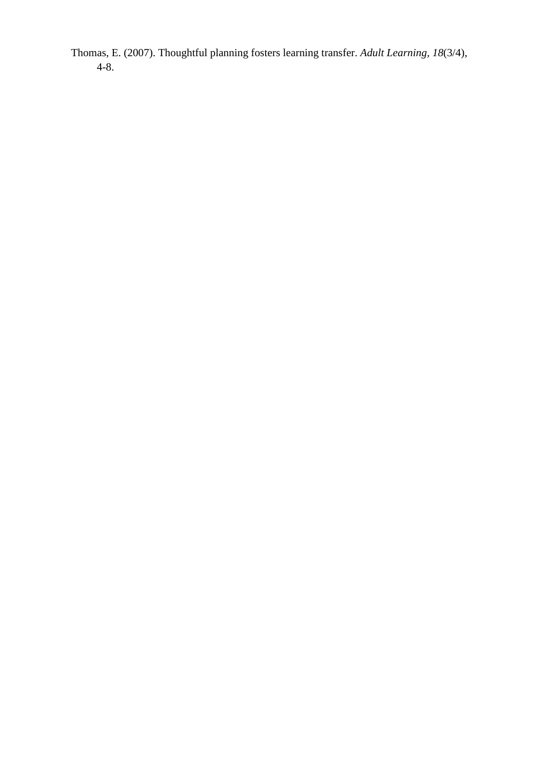Thomas, E. (2007). Thoughtful planning fosters learning transfer. *Adult Learning, 18*(3/4), 4-8.